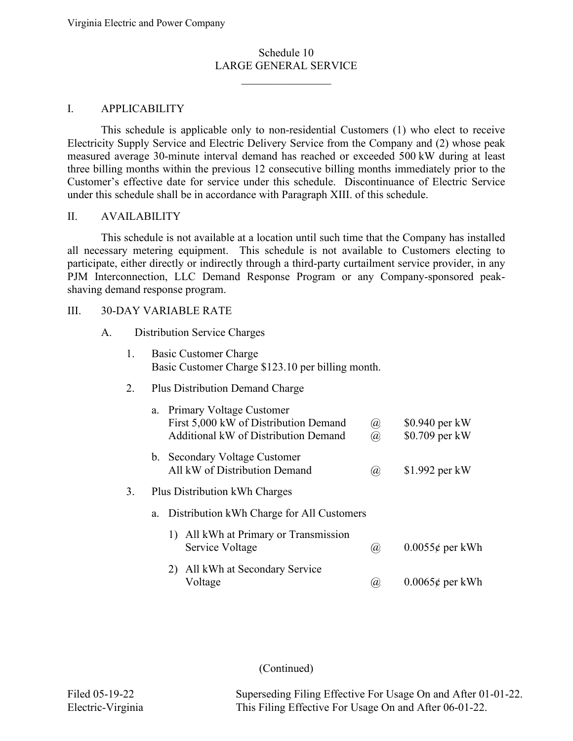$\mathcal{L}_\text{max}$  . The set of the set of the set of the set of the set of the set of the set of the set of the set of the set of the set of the set of the set of the set of the set of the set of the set of the set of the set

#### I. APPLICABILITY

This schedule is applicable only to non-residential Customers (1) who elect to receive Electricity Supply Service and Electric Delivery Service from the Company and (2) whose peak measured average 30-minute interval demand has reached or exceeded 500 kW during at least three billing months within the previous 12 consecutive billing months immediately prior to the Customer's effective date for service under this schedule. Discontinuance of Electric Service under this schedule shall be in accordance with Paragraph XIII. of this schedule.

#### II. AVAILABILITY

This schedule is not available at a location until such time that the Company has installed all necessary metering equipment. This schedule is not available to Customers electing to participate, either directly or indirectly through a third-party curtailment service provider, in any PJM Interconnection, LLC Demand Response Program or any Company-sponsored peakshaving demand response program.

#### III. 30-DAY VARIABLE RATE

#### A. Distribution Service Charges

| 1. | <b>Basic Customer Charge</b><br>Basic Customer Charge \$123.10 per billing month.                               |                                                                                                           |                                  |  |  |
|----|-----------------------------------------------------------------------------------------------------------------|-----------------------------------------------------------------------------------------------------------|----------------------------------|--|--|
| 2. | <b>Plus Distribution Demand Charge</b>                                                                          |                                                                                                           |                                  |  |  |
|    | Primary Voltage Customer<br>a.<br>First 5,000 kW of Distribution Demand<br>Additional kW of Distribution Demand | $^{\textcircled{\scriptsize{d}}}$<br>$^{\hspace{-0.5pt}(\hspace{-0.5pt}a\hspace{-0.5pt})\hspace{-0.5pt}}$ | \$0.940 per kW<br>\$0.709 per kW |  |  |
|    | b. Secondary Voltage Customer<br>All kW of Distribution Demand                                                  | $\left(\overline{a}\right)$                                                                               | $$1.992$ per kW                  |  |  |
| 3. | Plus Distribution kWh Charges                                                                                   |                                                                                                           |                                  |  |  |
|    | Distribution kWh Charge for All Customers<br>a.                                                                 |                                                                                                           |                                  |  |  |
|    | All kWh at Primary or Transmission<br>1)<br>Service Voltage                                                     | $\left(\overline{a}\right)$                                                                               | $0.0055\phi$ per kWh             |  |  |
|    | All kWh at Secondary Service<br>2)<br>Voltage                                                                   | (a)                                                                                                       | $0.0065\phi$ per kWh             |  |  |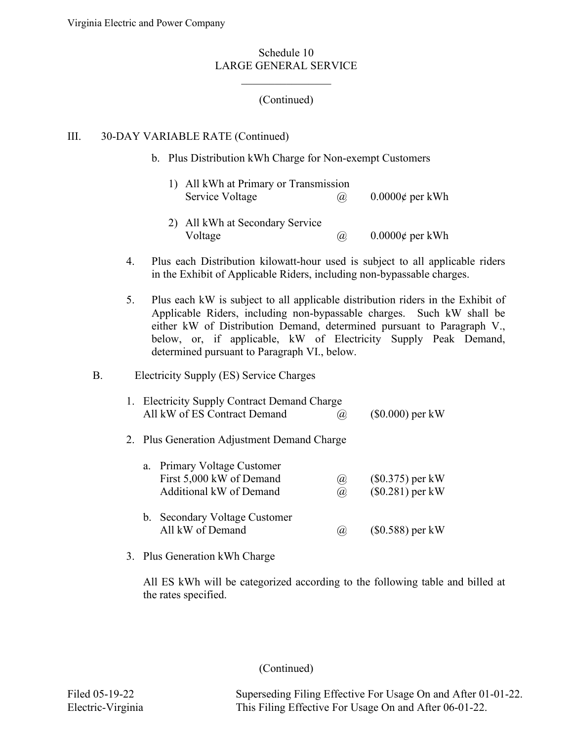# (Continued)

 $\mathcal{L}_\text{max}$  , where  $\mathcal{L}_\text{max}$ 

# III. 30-DAY VARIABLE RATE (Continued)

b. Plus Distribution kWh Charge for Non-exempt Customers

| 1) All kWh at Primary or Transmission                                                                                                                                                                                                                                                                                                                                                                                                                   |     |                      |
|---------------------------------------------------------------------------------------------------------------------------------------------------------------------------------------------------------------------------------------------------------------------------------------------------------------------------------------------------------------------------------------------------------------------------------------------------------|-----|----------------------|
| Service Voltage                                                                                                                                                                                                                                                                                                                                                                                                                                         | (a) | $0.0000\phi$ per kWh |
| $\Omega$ $\Lambda$ 11 1 $\overline{\text{U}}$ $\overline{\text{U}}$ $\overline{\text{U}}$ $\overline{\text{U}}$ $\overline{\text{U}}$ $\overline{\text{U}}$ $\overline{\text{U}}$ $\overline{\text{U}}$ $\overline{\text{U}}$ $\overline{\text{U}}$ $\overline{\text{U}}$ $\overline{\text{U}}$ $\overline{\text{U}}$ $\overline{\text{U}}$ $\overline{\text{U}}$ $\overline{\text{U}}$ $\overline{\text{U}}$ $\overline{\text{U}}$ $\overline{\text{U$ |     |                      |

- 2) All kWh at Secondary Service Voltage  $\omega$  0.0000¢ per kWh
- 4. Plus each Distribution kilowatt-hour used is subject to all applicable riders in the Exhibit of Applicable Riders, including non-bypassable charges.
- 5. Plus each kW is subject to all applicable distribution riders in the Exhibit of Applicable Riders, including non-bypassable charges. Such kW shall be either kW of Distribution Demand, determined pursuant to Paragraph V., below, or, if applicable, kW of Electricity Supply Peak Demand, determined pursuant to Paragraph VI., below.

# B. Electricity Supply (ES) Service Charges

|  | 1. Electricity Supply Contract Demand Charge<br>All kW of ES Contract Demand       | (a),        | $(\$0.000)$ per kW                      |
|--|------------------------------------------------------------------------------------|-------------|-----------------------------------------|
|  | 2. Plus Generation Adjustment Demand Charge                                        |             |                                         |
|  | a. Primary Voltage Customer<br>First 5,000 kW of Demand<br>Additional kW of Demand | (a),<br>(a) | $($0.375)$ per kW<br>$(\$0.281)$ per kW |

- b. Secondary Voltage Customer All kW of Demand  $\qquad \qquad (\text{\$0.588})$  per kW
- 3. Plus Generation kWh Charge

All ES kWh will be categorized according to the following table and billed at the rates specified.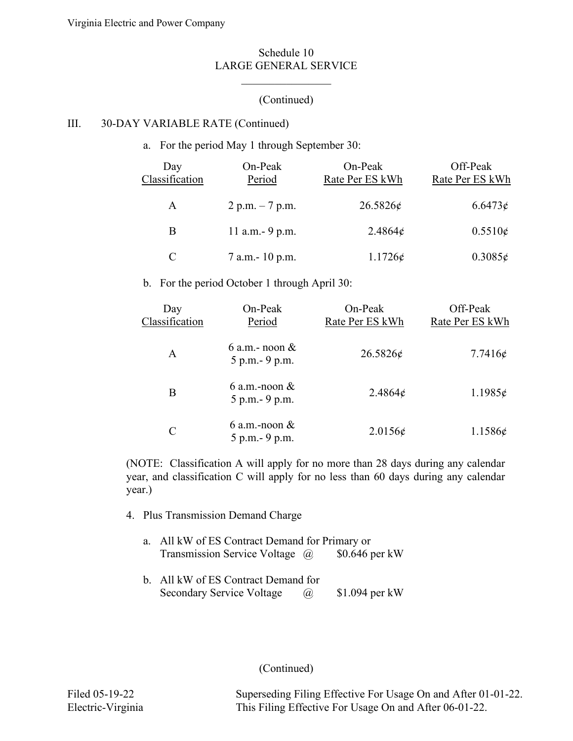# (Continued)

 $\mathcal{L}_\text{max}$  , where  $\mathcal{L}_\text{max}$ 

## III. 30-DAY VARIABLE RATE (Continued)

a. For the period May 1 through September 30:

| Day<br>Classification | $On-Peak$<br>Period | On-Peak<br>Rate Per ES kWh | Off-Peak<br>Rate Per ES kWh |
|-----------------------|---------------------|----------------------------|-----------------------------|
| A                     | 2 p.m. $-7$ p.m.    | 26.5826c                   | 6.6473c                     |
| B                     | 11 a.m. - 9 p.m.    | 2.4864¢                    | $0.5510\epsilon$            |
| C                     | $7$ a.m. $-10$ p.m. | $1.1726\epsilon$           | $0.3085\epsilon$            |

b. For the period October 1 through April 30:

| Day<br>Classification | On-Peak<br>Period                     | On-Peak<br>Rate Per ES kWh | Off-Peak<br>Rate Per ES kWh |
|-----------------------|---------------------------------------|----------------------------|-----------------------------|
| A                     | 6 a.m. - noon $\&$<br>5 p.m. - 9 p.m. | 26.5826¢                   | 7.7416 $\epsilon$           |
| Β                     | 6 a.m.-noon $\&$<br>5 p.m. - 9 p.m.   | $2.4864\phi$               | $1.1985\phi$                |
| C                     | 6 a.m.-noon $\&$<br>5 p.m. - 9 p.m.   | $2.0156\epsilon$           | $1.1586\epsilon$            |

(NOTE: Classification A will apply for no more than 28 days during any calendar year, and classification C will apply for no less than 60 days during any calendar year.)

- 4. Plus Transmission Demand Charge
	- a. All kW of ES Contract Demand for Primary or Transmission Service Voltage @ \$0.646 per kW
	- b. All kW of ES Contract Demand for Secondary Service Voltage  $\qquad \omega$  \$1.094 per kW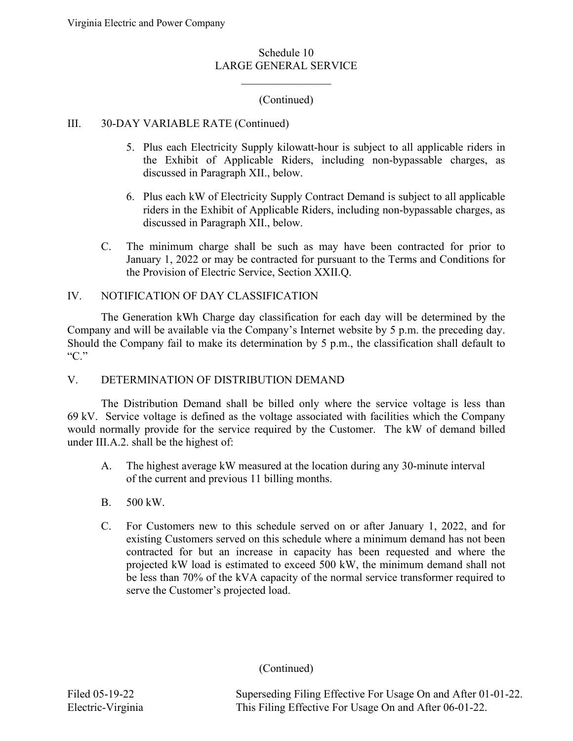# (Continued)

 $\mathcal{L}_\text{max}$  , where  $\mathcal{L}_\text{max}$ 

#### III. 30-DAY VARIABLE RATE (Continued)

- 5. Plus each Electricity Supply kilowatt-hour is subject to all applicable riders in the Exhibit of Applicable Riders, including non-bypassable charges, as discussed in Paragraph XII., below.
- 6. Plus each kW of Electricity Supply Contract Demand is subject to all applicable riders in the Exhibit of Applicable Riders, including non-bypassable charges, as discussed in Paragraph XII., below.
- C. The minimum charge shall be such as may have been contracted for prior to January 1, 2022 or may be contracted for pursuant to the Terms and Conditions for the Provision of Electric Service, Section XXII.Q.

## IV. NOTIFICATION OF DAY CLASSIFICATION

The Generation kWh Charge day classification for each day will be determined by the Company and will be available via the Company's Internet website by 5 p.m. the preceding day. Should the Company fail to make its determination by 5 p.m., the classification shall default to "C."

## V. DETERMINATION OF DISTRIBUTION DEMAND

The Distribution Demand shall be billed only where the service voltage is less than 69 kV. Service voltage is defined as the voltage associated with facilities which the Company would normally provide for the service required by the Customer. The kW of demand billed under III.A.2. shall be the highest of:

- A. The highest average kW measured at the location during any 30-minute interval of the current and previous 11 billing months.
- B. 500 kW.
- C. For Customers new to this schedule served on or after January 1, 2022, and for existing Customers served on this schedule where a minimum demand has not been contracted for but an increase in capacity has been requested and where the projected kW load is estimated to exceed 500 kW, the minimum demand shall not be less than 70% of the kVA capacity of the normal service transformer required to serve the Customer's projected load.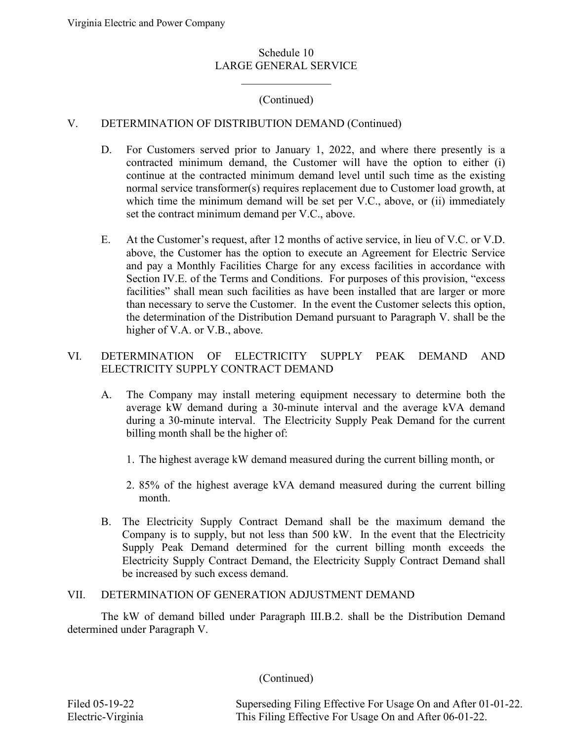$\mathcal{L}_\text{max}$  , where  $\mathcal{L}_\text{max}$ 

# (Continued)

#### V. DETERMINATION OF DISTRIBUTION DEMAND (Continued)

- D. For Customers served prior to January 1, 2022, and where there presently is a contracted minimum demand, the Customer will have the option to either (i) continue at the contracted minimum demand level until such time as the existing normal service transformer(s) requires replacement due to Customer load growth, at which time the minimum demand will be set per V.C., above, or (ii) immediately set the contract minimum demand per V.C., above.
- E. At the Customer's request, after 12 months of active service, in lieu of V.C. or V.D. above, the Customer has the option to execute an Agreement for Electric Service and pay a Monthly Facilities Charge for any excess facilities in accordance with Section IV.E. of the Terms and Conditions. For purposes of this provision, "excess facilities" shall mean such facilities as have been installed that are larger or more than necessary to serve the Customer. In the event the Customer selects this option, the determination of the Distribution Demand pursuant to Paragraph V. shall be the higher of V.A. or V.B., above.

#### VI. DETERMINATION OF ELECTRICITY SUPPLY PEAK DEMAND AND ELECTRICITY SUPPLY CONTRACT DEMAND

- A. The Company may install metering equipment necessary to determine both the average kW demand during a 30-minute interval and the average kVA demand during a 30-minute interval. The Electricity Supply Peak Demand for the current billing month shall be the higher of:
	- 1. The highest average kW demand measured during the current billing month, or
	- 2. 85% of the highest average kVA demand measured during the current billing month.
- B. The Electricity Supply Contract Demand shall be the maximum demand the Company is to supply, but not less than 500 kW. In the event that the Electricity Supply Peak Demand determined for the current billing month exceeds the Electricity Supply Contract Demand, the Electricity Supply Contract Demand shall be increased by such excess demand.

#### VII. DETERMINATION OF GENERATION ADJUSTMENT DEMAND

The kW of demand billed under Paragraph III.B.2. shall be the Distribution Demand determined under Paragraph V.

(Continued)

Filed 05-19-22 Superseding Filing Effective For Usage On and After 01-01-22. Electric-Virginia This Filing Effective For Usage On and After 06-01-22.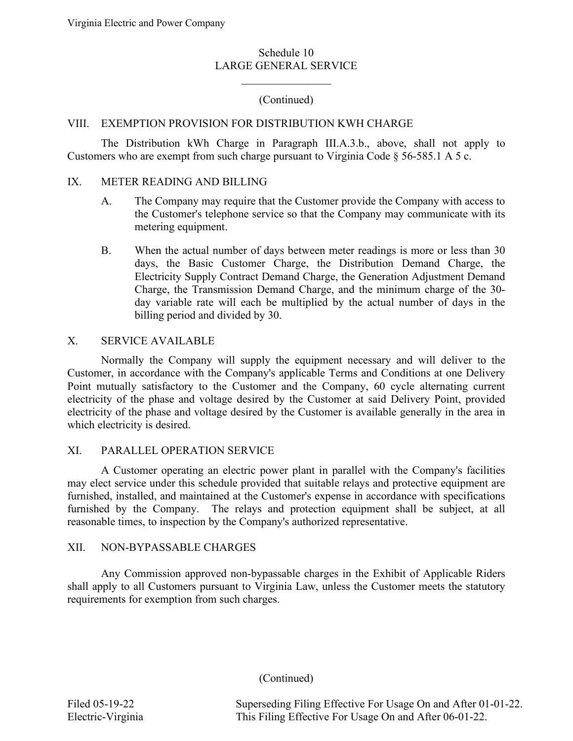$\mathcal{L}_\text{max}$  , where  $\mathcal{L}_\text{max}$ 

# (Continued)

# VIII. EXEMPTION PROVISION FOR DISTRIBUTION KWH CHARGE

The Distribution kWh Charge in Paragraph III.A.3.b., above, shall not apply to Customers who are exempt from such charge pursuant to Virginia Code § 56-585.1 A 5 c.

#### IX. METER READING AND BILLING

- A. The Company may require that the Customer provide the Company with access to the Customer's telephone service so that the Company may communicate with its metering equipment.
- B. When the actual number of days between meter readings is more or less than 30 days, the Basic Customer Charge, the Distribution Demand Charge, the Electricity Supply Contract Demand Charge, the Generation Adjustment Demand Charge, the Transmission Demand Charge, and the minimum charge of the 30 day variable rate will each be multiplied by the actual number of days in the billing period and divided by 30.

# X. SERVICE AVAILABLE

Normally the Company will supply the equipment necessary and will deliver to the Customer, in accordance with the Company's applicable Terms and Conditions at one Delivery Point mutually satisfactory to the Customer and the Company, 60 cycle alternating current electricity of the phase and voltage desired by the Customer at said Delivery Point, provided electricity of the phase and voltage desired by the Customer is available generally in the area in which electricity is desired.

#### XI. PARALLEL OPERATION SERVICE

A Customer operating an electric power plant in parallel with the Company's facilities may elect service under this schedule provided that suitable relays and protective equipment are furnished, installed, and maintained at the Customer's expense in accordance with specifications furnished by the Company. The relays and protection equipment shall be subject, at all reasonable times, to inspection by the Company's authorized representative.

## XII. NON-BYPASSABLE CHARGES

Any Commission approved non-bypassable charges in the Exhibit of Applicable Riders shall apply to all Customers pursuant to Virginia Law, unless the Customer meets the statutory requirements for exemption from such charges.

(Continued)

Filed 05-19-22 Superseding Filing Effective For Usage On and After 01-01-22. Electric-Virginia This Filing Effective For Usage On and After 06-01-22.